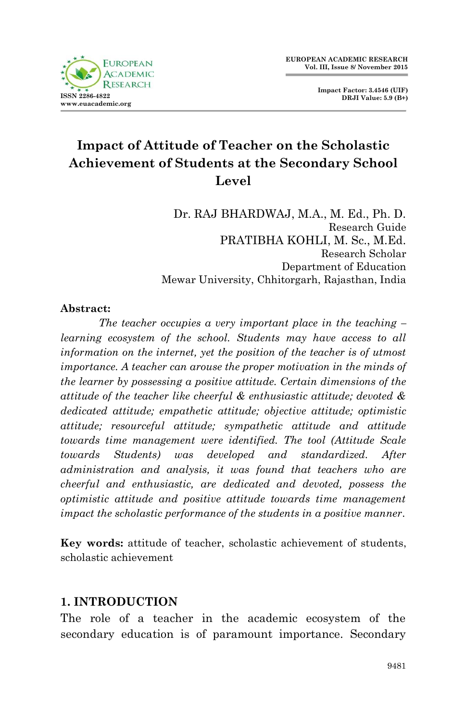

**Impact Factor: 3.4546 (UIF) DRJI Value: 5.9 (B+)**

# **Impact of Attitude of Teacher on the Scholastic Achievement of Students at the Secondary School Level**

Dr. RAJ BHARDWAJ, M.A., M. Ed., Ph. D. Research Guide PRATIBHA KOHLI, M. Sc., M.Ed. Research Scholar Department of Education Mewar University, Chhitorgarh, Rajasthan, India

#### **Abstract:**

*The teacher occupies a very important place in the teaching – learning ecosystem of the school. Students may have access to all information on the internet, yet the position of the teacher is of utmost importance. A teacher can arouse the proper motivation in the minds of the learner by possessing a positive attitude. Certain dimensions of the attitude of the teacher like cheerful & enthusiastic attitude; devoted & dedicated attitude; empathetic attitude; objective attitude; optimistic attitude; resourceful attitude; sympathetic attitude and attitude towards time management were identified. The tool (Attitude Scale towards Students) was developed and standardized. After administration and analysis, it was found that teachers who are cheerful and enthusiastic, are dedicated and devoted, possess the optimistic attitude and positive attitude towards time management impact the scholastic performance of the students in a positive manner.*

**Key words:** attitude of teacher, scholastic achievement of students, scholastic achievement

#### **1. INTRODUCTION**

The role of a teacher in the academic ecosystem of the secondary education is of paramount importance. Secondary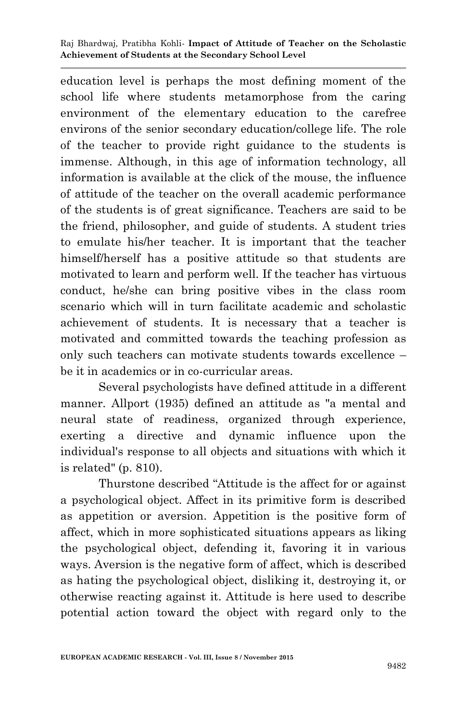education level is perhaps the most defining moment of the school life where students metamorphose from the caring environment of the elementary education to the carefree environs of the senior secondary education/college life. The role of the teacher to provide right guidance to the students is immense. Although, in this age of information technology, all information is available at the click of the mouse, the influence of attitude of the teacher on the overall academic performance of the students is of great significance. Teachers are said to be the friend, philosopher, and guide of students. A student tries to emulate his/her teacher. It is important that the teacher himself/herself has a positive attitude so that students are motivated to learn and perform well. If the teacher has virtuous conduct, he/she can bring positive vibes in the class room scenario which will in turn facilitate academic and scholastic achievement of students. It is necessary that a teacher is motivated and committed towards the teaching profession as only such teachers can motivate students towards excellence – be it in academics or in co-curricular areas.

Several psychologists have defined attitude in a different manner. Allport (1935) defined an attitude as "a mental and neural state of readiness, organized through experience, exerting a directive and dynamic influence upon the individual's response to all objects and situations with which it is related" (p. 810).

Thurstone described "Attitude is the affect for or against a psychological object. Affect in its primitive form is described as appetition or aversion. Appetition is the positive form of affect, which in more sophisticated situations appears as liking the psychological object, defending it, favoring it in various ways. Aversion is the negative form of affect, which is described as hating the psychological object, disliking it, destroying it, or otherwise reacting against it. Attitude is here used to describe potential action toward the object with regard only to the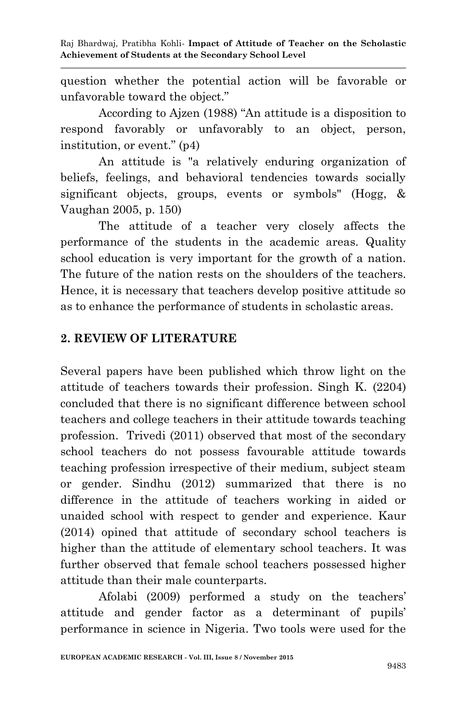question whether the potential action will be favorable or unfavorable toward the object."

According to Ajzen (1988) "An attitude is a disposition to respond favorably or unfavorably to an object, person, institution, or event." (p4)

An attitude is "a relatively enduring organization of beliefs, feelings, and behavioral tendencies towards socially significant objects, groups, events or symbols" (Hogg, & Vaughan 2005, p. 150)

The attitude of a teacher very closely affects the performance of the students in the academic areas. Quality school education is very important for the growth of a nation. The future of the nation rests on the shoulders of the teachers. Hence, it is necessary that teachers develop positive attitude so as to enhance the performance of students in scholastic areas.

#### **2. REVIEW OF LITERATURE**

Several papers have been published which throw light on the attitude of teachers towards their profession. Singh K. (2204) concluded that there is no significant difference between school teachers and college teachers in their attitude towards teaching profession. Trivedi (2011) observed that most of the secondary school teachers do not possess favourable attitude towards teaching profession irrespective of their medium, subject steam or gender. Sindhu (2012) summarized that there is no difference in the attitude of teachers working in aided or unaided school with respect to gender and experience. Kaur (2014) opined that attitude of secondary school teachers is higher than the attitude of elementary school teachers. It was further observed that female school teachers possessed higher attitude than their male counterparts.

Afolabi (2009) performed a study on the teachers' attitude and gender factor as a determinant of pupils' performance in science in Nigeria. Two tools were used for the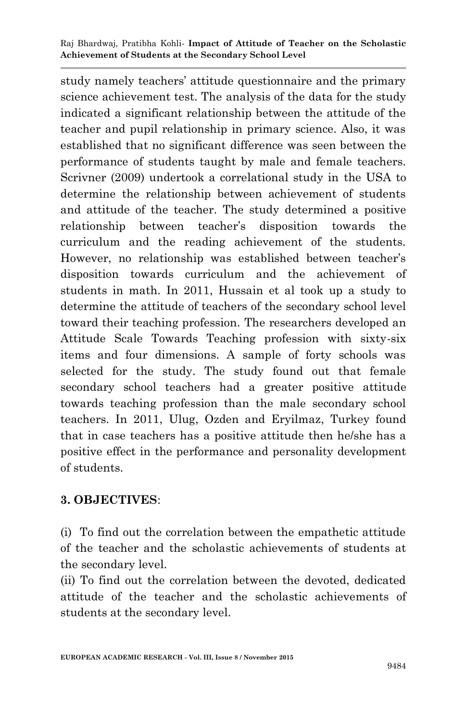study namely teachers' attitude questionnaire and the primary science achievement test. The analysis of the data for the study indicated a significant relationship between the attitude of the teacher and pupil relationship in primary science. Also, it was established that no significant difference was seen between the performance of students taught by male and female teachers. Scrivner (2009) undertook a correlational study in the USA to determine the relationship between achievement of students and attitude of the teacher. The study determined a positive relationship between teacher's disposition towards the curriculum and the reading achievement of the students. However, no relationship was established between teacher's disposition towards curriculum and the achievement of students in math. In 2011, Hussain et al took up a study to determine the attitude of teachers of the secondary school level toward their teaching profession. The researchers developed an Attitude Scale Towards Teaching profession with sixty-six items and four dimensions. A sample of forty schools was selected for the study. The study found out that female secondary school teachers had a greater positive attitude towards teaching profession than the male secondary school teachers. In 2011, Ulug, Ozden and Eryilmaz, Turkey found that in case teachers has a positive attitude then he/she has a positive effect in the performance and personality development of students.

#### **3. OBJECTIVES**:

(i) To find out the correlation between the empathetic attitude of the teacher and the scholastic achievements of students at the secondary level.

(ii) To find out the correlation between the devoted, dedicated attitude of the teacher and the scholastic achievements of students at the secondary level.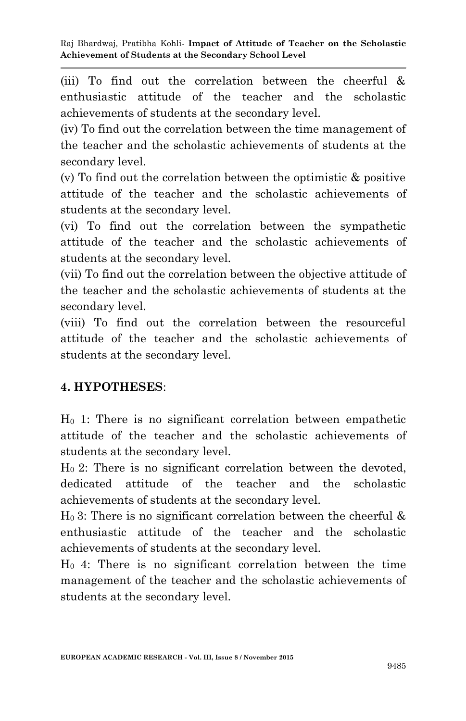(iii) To find out the correlation between the cheerful & enthusiastic attitude of the teacher and the scholastic achievements of students at the secondary level.

(iv) To find out the correlation between the time management of the teacher and the scholastic achievements of students at the secondary level.

(v) To find out the correlation between the optimistic & positive attitude of the teacher and the scholastic achievements of students at the secondary level.

(vi) To find out the correlation between the sympathetic attitude of the teacher and the scholastic achievements of students at the secondary level.

(vii) To find out the correlation between the objective attitude of the teacher and the scholastic achievements of students at the secondary level.

(viii) To find out the correlation between the resourceful attitude of the teacher and the scholastic achievements of students at the secondary level.

# **4. HYPOTHESES**:

H<sup>0</sup> 1: There is no significant correlation between empathetic attitude of the teacher and the scholastic achievements of students at the secondary level.

 $H<sub>0</sub>$  2: There is no significant correlation between the devoted, dedicated attitude of the teacher and the scholastic achievements of students at the secondary level.

 $H_0$  3: There is no significant correlation between the cheerful  $\&$ enthusiastic attitude of the teacher and the scholastic achievements of students at the secondary level.

H0 4: There is no significant correlation between the time management of the teacher and the scholastic achievements of students at the secondary level.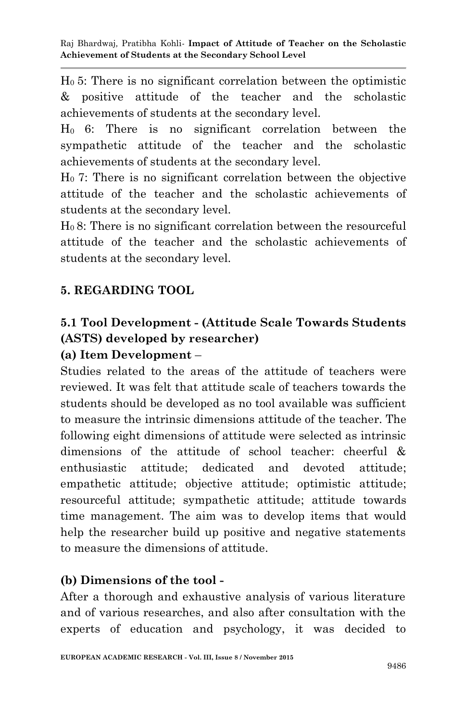H0 5: There is no significant correlation between the optimistic & positive attitude of the teacher and the scholastic achievements of students at the secondary level.

H0 6: There is no significant correlation between the sympathetic attitude of the teacher and the scholastic achievements of students at the secondary level.

H0 7: There is no significant correlation between the objective attitude of the teacher and the scholastic achievements of students at the secondary level.

 $H<sub>0</sub>$  8: There is no significant correlation between the resourceful attitude of the teacher and the scholastic achievements of students at the secondary level.

# **5. REGARDING TOOL**

# **5.1 Tool Development - (Attitude Scale Towards Students (ASTS) developed by researcher)**

## **(a) Item Development** –

Studies related to the areas of the attitude of teachers were reviewed. It was felt that attitude scale of teachers towards the students should be developed as no tool available was sufficient to measure the intrinsic dimensions attitude of the teacher. The following eight dimensions of attitude were selected as intrinsic dimensions of the attitude of school teacher: cheerful & enthusiastic attitude; dedicated and devoted attitude; empathetic attitude; objective attitude; optimistic attitude; resourceful attitude; sympathetic attitude; attitude towards time management. The aim was to develop items that would help the researcher build up positive and negative statements to measure the dimensions of attitude.

## **(b) Dimensions of the tool -**

After a thorough and exhaustive analysis of various literature and of various researches, and also after consultation with the experts of education and psychology, it was decided to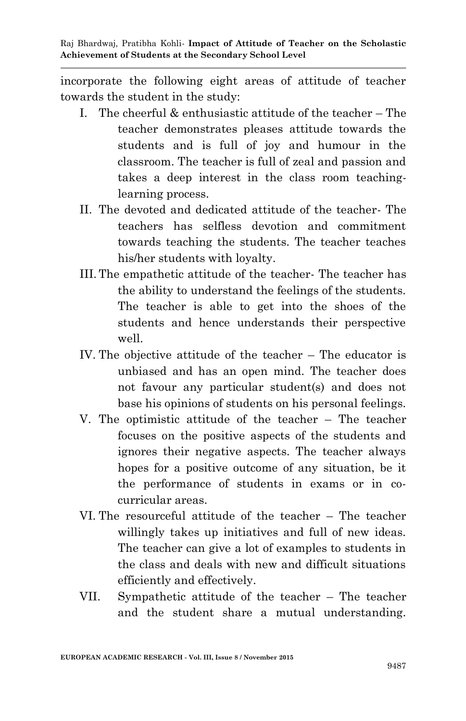incorporate the following eight areas of attitude of teacher towards the student in the study:

- I. The cheerful  $\&$  enthusiastic attitude of the teacher The teacher demonstrates pleases attitude towards the students and is full of joy and humour in the classroom. The teacher is full of zeal and passion and takes a deep interest in the class room teachinglearning process.
- II. The devoted and dedicated attitude of the teacher- The teachers has selfless devotion and commitment towards teaching the students. The teacher teaches his/her students with loyalty.
- III.The empathetic attitude of the teacher- The teacher has the ability to understand the feelings of the students. The teacher is able to get into the shoes of the students and hence understands their perspective well.
- IV. The objective attitude of the teacher The educator is unbiased and has an open mind. The teacher does not favour any particular student(s) and does not base his opinions of students on his personal feelings.
- V. The optimistic attitude of the teacher The teacher focuses on the positive aspects of the students and ignores their negative aspects. The teacher always hopes for a positive outcome of any situation, be it the performance of students in exams or in cocurricular areas.
- VI. The resourceful attitude of the teacher The teacher willingly takes up initiatives and full of new ideas. The teacher can give a lot of examples to students in the class and deals with new and difficult situations efficiently and effectively.
- VII. Sympathetic attitude of the teacher The teacher and the student share a mutual understanding.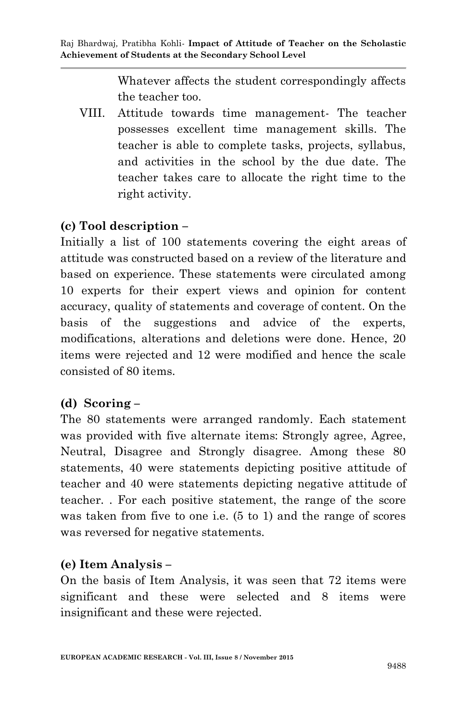Whatever affects the student correspondingly affects the teacher too.

VIII. Attitude towards time management- The teacher possesses excellent time management skills. The teacher is able to complete tasks, projects, syllabus, and activities in the school by the due date. The teacher takes care to allocate the right time to the right activity.

## **(c) Tool description –**

Initially a list of 100 statements covering the eight areas of attitude was constructed based on a review of the literature and based on experience. These statements were circulated among 10 experts for their expert views and opinion for content accuracy, quality of statements and coverage of content. On the basis of the suggestions and advice of the experts, modifications, alterations and deletions were done. Hence, 20 items were rejected and 12 were modified and hence the scale consisted of 80 items.

## **(d) Scoring –**

The 80 statements were arranged randomly. Each statement was provided with five alternate items: Strongly agree, Agree, Neutral, Disagree and Strongly disagree. Among these 80 statements, 40 were statements depicting positive attitude of teacher and 40 were statements depicting negative attitude of teacher. . For each positive statement, the range of the score was taken from five to one i.e. (5 to 1) and the range of scores was reversed for negative statements.

#### **(e) Item Analysis –**

On the basis of Item Analysis, it was seen that 72 items were significant and these were selected and 8 items were insignificant and these were rejected.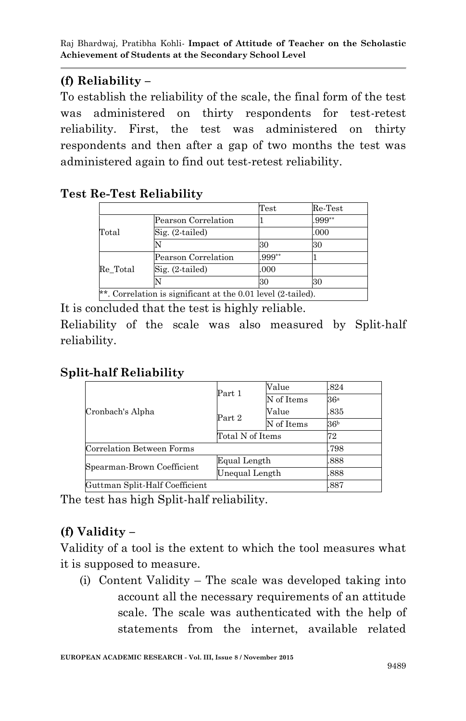# **(f) Reliability –**

To establish the reliability of the scale, the final form of the test was administered on thirty respondents for test-retest reliability. First, the test was administered on thirty respondents and then after a gap of two months the test was administered again to find out test-retest reliability.

### **Test Re-Test Reliability**

|          |                            | $\operatorname{Test}$ | $\operatorname{Re-Test}$ |
|----------|----------------------------|-----------------------|--------------------------|
|          | Pearson Correlation        |                       | .999**                   |
| Total    | $\mathrm{Sig.}$ (2-tailed) |                       | .000                     |
|          |                            | 30                    | 30                       |
|          | Pearson Correlation        | $.999**$              |                          |
| Re Total | $Sig. (2-tailed)$          | .000                  |                          |
|          |                            | 30                    | 30                       |

It is concluded that the test is highly reliable.

Reliability of the scale was also measured by Split-half reliability.

# **Split-half Reliability**

| Cronbach's Alpha               | Part 1           | Value      | 824             |
|--------------------------------|------------------|------------|-----------------|
|                                |                  | N of Items | 36ª             |
|                                | Part 2           | Value      | 835             |
|                                |                  | N of Items | 36 <sup>b</sup> |
|                                | Total N of Items |            | 72              |
| Correlation Between Forms      |                  |            | .798            |
| Spearman-Brown Coefficient     | Equal Length     |            | .888            |
|                                | Unequal Length   |            | 888             |
| Guttman Split-Half Coefficient |                  |            | 887             |

The test has high Split-half reliability.

# **(f) Validity –**

Validity of a tool is the extent to which the tool measures what it is supposed to measure.

(i) Content Validity – The scale was developed taking into account all the necessary requirements of an attitude scale. The scale was authenticated with the help of statements from the internet, available related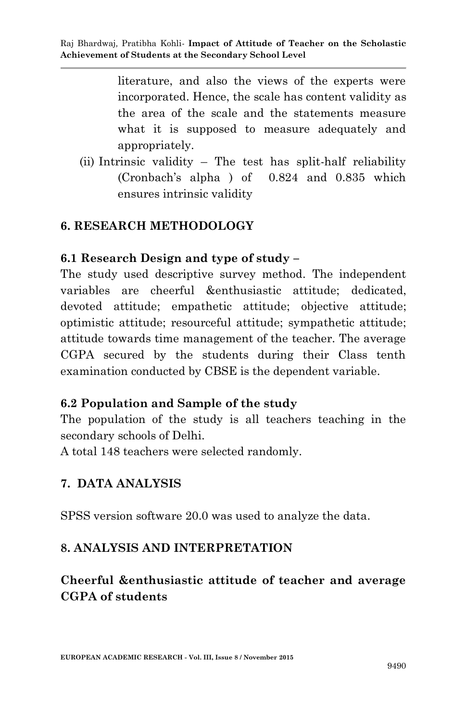literature, and also the views of the experts were incorporated. Hence, the scale has content validity as the area of the scale and the statements measure what it is supposed to measure adequately and appropriately.

(ii) Intrinsic validity – The test has split-half reliability (Cronbach's alpha ) of 0.824 and 0.835 which ensures intrinsic validity

### **6. RESEARCH METHODOLOGY**

#### **6.1 Research Design and type of study –**

The study used descriptive survey method. The independent variables are cheerful &enthusiastic attitude; dedicated, devoted attitude; empathetic attitude; objective attitude; optimistic attitude; resourceful attitude; sympathetic attitude; attitude towards time management of the teacher. The average CGPA secured by the students during their Class tenth examination conducted by CBSE is the dependent variable.

#### **6.2 Population and Sample of the study**

The population of the study is all teachers teaching in the secondary schools of Delhi.

A total 148 teachers were selected randomly.

## **7. DATA ANALYSIS**

SPSS version software 20.0 was used to analyze the data.

## **8. ANALYSIS AND INTERPRETATION**

## **Cheerful &enthusiastic attitude of teacher and average CGPA of students**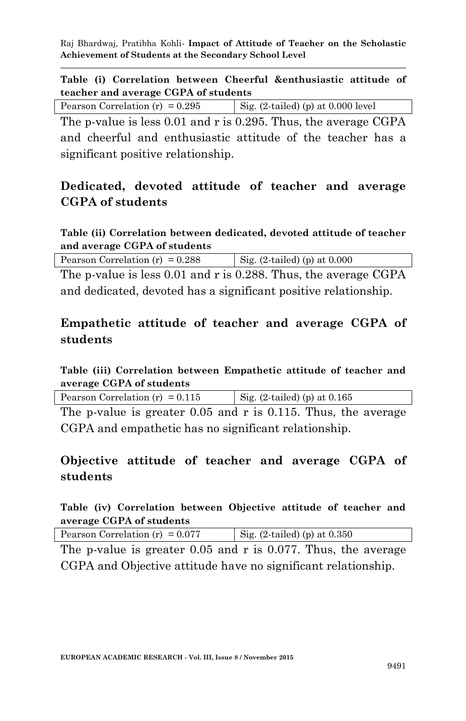#### **Table (i) Correlation between Cheerful &enthusiastic attitude of teacher and average CGPA of students**

| $\vert$ Sig. (2-tailed) (p) at 0.000 level<br>Pearson Correlation (r) = $0.295$ |  |
|---------------------------------------------------------------------------------|--|
|---------------------------------------------------------------------------------|--|

The p-value is less 0.01 and r is 0.295. Thus, the average CGPA and cheerful and enthusiastic attitude of the teacher has a significant positive relationship.

## **Dedicated, devoted attitude of teacher and average CGPA of students**

#### **Table (ii) Correlation between dedicated, devoted attitude of teacher and average CGPA of students**

| Pearson Correlation (r) = $0.288$                                  | Sig. $(2\t-1)$ (p) at 0.000 |
|--------------------------------------------------------------------|-----------------------------|
| The products $\log 0.01$ and $\pi$ is 0.988. Thus the evening CCDA |                             |

The p-value is less 0.01 and r is 0.288. Thus, the average CGPA and dedicated, devoted has a significant positive relationship.

## **Empathetic attitude of teacher and average CGPA of students**

#### **Table (iii) Correlation between Empathetic attitude of teacher and average CGPA of students**

| Pearson Correlation (r) = $0.115$<br>Sig. $(2\tt-1)$ (p) at 0.165 |
|-------------------------------------------------------------------|
|-------------------------------------------------------------------|

The p-value is greater 0.05 and r is 0.115. Thus, the average CGPA and empathetic has no significant relationship.

## **Objective attitude of teacher and average CGPA of students**

#### **Table (iv) Correlation between Objective attitude of teacher and average CGPA of students**

| Pearson Correlation (r) = $0.077$ | Sig. $(2\tt-1)$ (p) at $0.350$ |
|-----------------------------------|--------------------------------|
|-----------------------------------|--------------------------------|

The p-value is greater 0.05 and r is 0.077. Thus, the average CGPA and Objective attitude have no significant relationship.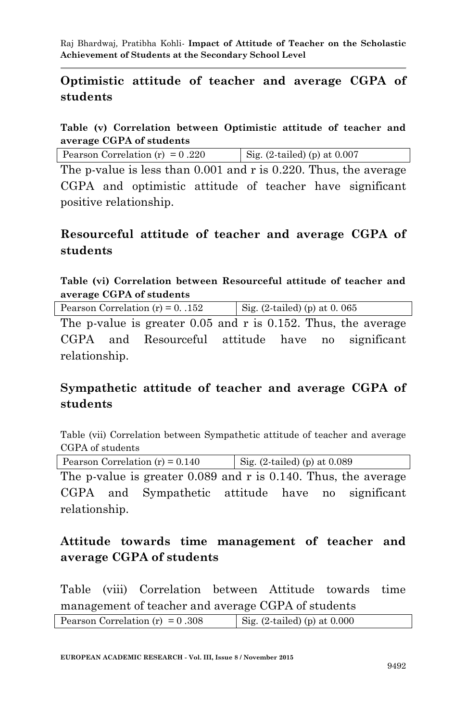### **Optimistic attitude of teacher and average CGPA of students**

**Table (v) Correlation between Optimistic attitude of teacher and average CGPA of students** 

The p-value is less than 0.001 and r is 0.220. Thus, the average CGPA and optimistic attitude of teacher have significant positive relationship.

### **Resourceful attitude of teacher and average CGPA of students**

**Table (vi) Correlation between Resourceful attitude of teacher and average CGPA of students**

| Pearson Correlation $(r) = 0$ . 152                                | Sig. $(2\tt-1)$ (p) at 0.065 |
|--------------------------------------------------------------------|------------------------------|
| The p-value is greater $0.05$ and r is $0.152$ . Thus, the average |                              |

CGPA and Resourceful attitude have no significant relationship.

## **Sympathetic attitude of teacher and average CGPA of students**

Table (vii) Correlation between Sympathetic attitude of teacher and average CGPA of students

Pearson Correlation (r) =  $0.140$  Sig. (2-tailed) (p) at 0.089

The p-value is greater 0.089 and r is 0.140. Thus, the average CGPA and Sympathetic attitude have no significant relationship.

## **Attitude towards time management of teacher and average CGPA of students**

Table (viii) Correlation between Attitude towards time management of teacher and average CGPA of students

| Pearson Correlation (r) = $0.308$ | Sig. $(2\t- 1)$ (p) at 0.000 |
|-----------------------------------|------------------------------|
|                                   |                              |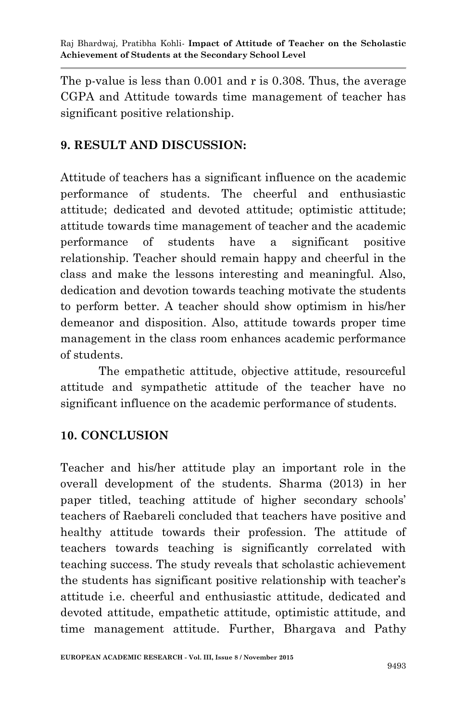The p-value is less than 0.001 and r is 0.308. Thus, the average CGPA and Attitude towards time management of teacher has significant positive relationship.

## **9. RESULT AND DISCUSSION:**

Attitude of teachers has a significant influence on the academic performance of students. The cheerful and enthusiastic attitude; dedicated and devoted attitude; optimistic attitude; attitude towards time management of teacher and the academic performance of students have a significant positive relationship. Teacher should remain happy and cheerful in the class and make the lessons interesting and meaningful. Also, dedication and devotion towards teaching motivate the students to perform better. A teacher should show optimism in his/her demeanor and disposition. Also, attitude towards proper time management in the class room enhances academic performance of students.

The empathetic attitude, objective attitude, resourceful attitude and sympathetic attitude of the teacher have no significant influence on the academic performance of students.

## **10. CONCLUSION**

Teacher and his/her attitude play an important role in the overall development of the students. Sharma (2013) in her paper titled, teaching attitude of higher secondary schools' teachers of Raebareli concluded that teachers have positive and healthy attitude towards their profession. The attitude of teachers towards teaching is significantly correlated with teaching success. The study reveals that scholastic achievement the students has significant positive relationship with teacher's attitude i.e. cheerful and enthusiastic attitude, dedicated and devoted attitude, empathetic attitude, optimistic attitude, and time management attitude. Further, Bhargava and Pathy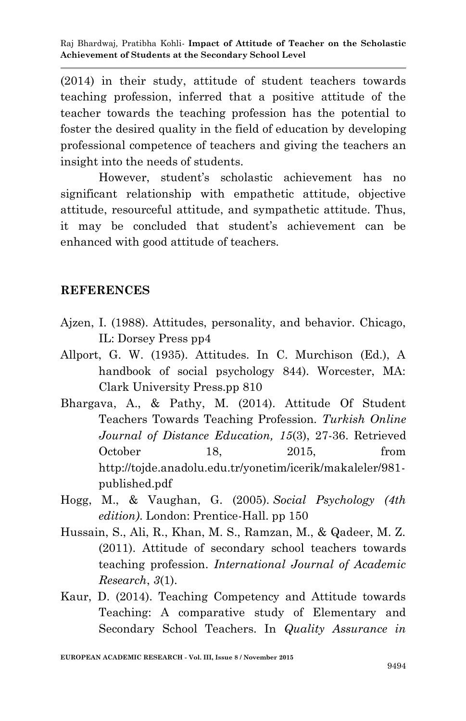(2014) in their study, attitude of student teachers towards teaching profession, inferred that a positive attitude of the teacher towards the teaching profession has the potential to foster the desired quality in the field of education by developing professional competence of teachers and giving the teachers an insight into the needs of students.

However, student's scholastic achievement has no significant relationship with empathetic attitude, objective attitude, resourceful attitude, and sympathetic attitude. Thus, it may be concluded that student's achievement can be enhanced with good attitude of teachers.

#### **REFERENCES**

- Ajzen, I. (1988). Attitudes, personality, and behavior. Chicago, IL: Dorsey Press pp4
- Allport, G. W. (1935). Attitudes. In C. Murchison (Ed.), A handbook of social psychology 844). Worcester, MA: Clark University Press.pp 810
- Bhargava, A., & Pathy, M. (2014). Attitude Of Student Teachers Towards Teaching Profession. *Turkish Online Journal of Distance Education, 15*(3), 27-36. Retrieved October 18, 2015, from http://tojde.anadolu.edu.tr/yonetim/icerik/makaleler/981 published.pdf
- Hogg, M., & Vaughan, G. (2005). *Social Psychology (4th edition)*. London: Prentice-Hall. pp 150
- Hussain, S., Ali, R., Khan, M. S., Ramzan, M., & Qadeer, M. Z. (2011). Attitude of secondary school teachers towards teaching profession. *International Journal of Academic Research*, *3*(1).
- Kaur, D. (2014). Teaching Competency and Attitude towards Teaching: A comparative study of Elementary and Secondary School Teachers. In *Quality Assurance in*